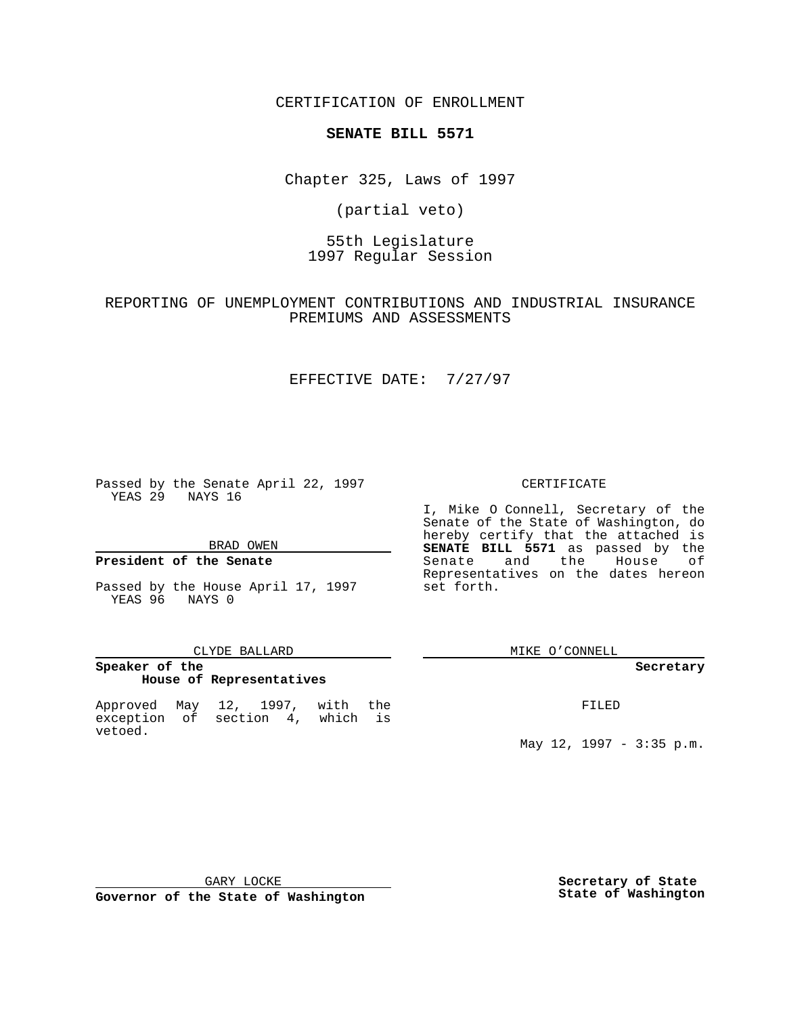CERTIFICATION OF ENROLLMENT

# **SENATE BILL 5571**

Chapter 325, Laws of 1997

(partial veto)

55th Legislature 1997 Regular Session

REPORTING OF UNEMPLOYMENT CONTRIBUTIONS AND INDUSTRIAL INSURANCE PREMIUMS AND ASSESSMENTS

## EFFECTIVE DATE: 7/27/97

Passed by the Senate April 22, 1997 YEAS 29 NAYS 16

BRAD OWEN

### **President of the Senate**

Passed by the House April 17, 1997 YEAS 96 NAYS 0

#### CLYDE BALLARD

## **Speaker of the House of Representatives**

Approved May 12, 1997, with the exception of section 4, which is vetoed.

#### CERTIFICATE

I, Mike O Connell, Secretary of the Senate of the State of Washington, do hereby certify that the attached is **SENATE BILL 5571** as passed by the Senate and the House of Representatives on the dates hereon set forth.

MIKE O'CONNELL

#### **Secretary**

FILED

May 12, 1997 - 3:35 p.m.

GARY LOCKE

**Governor of the State of Washington**

**Secretary of State State of Washington**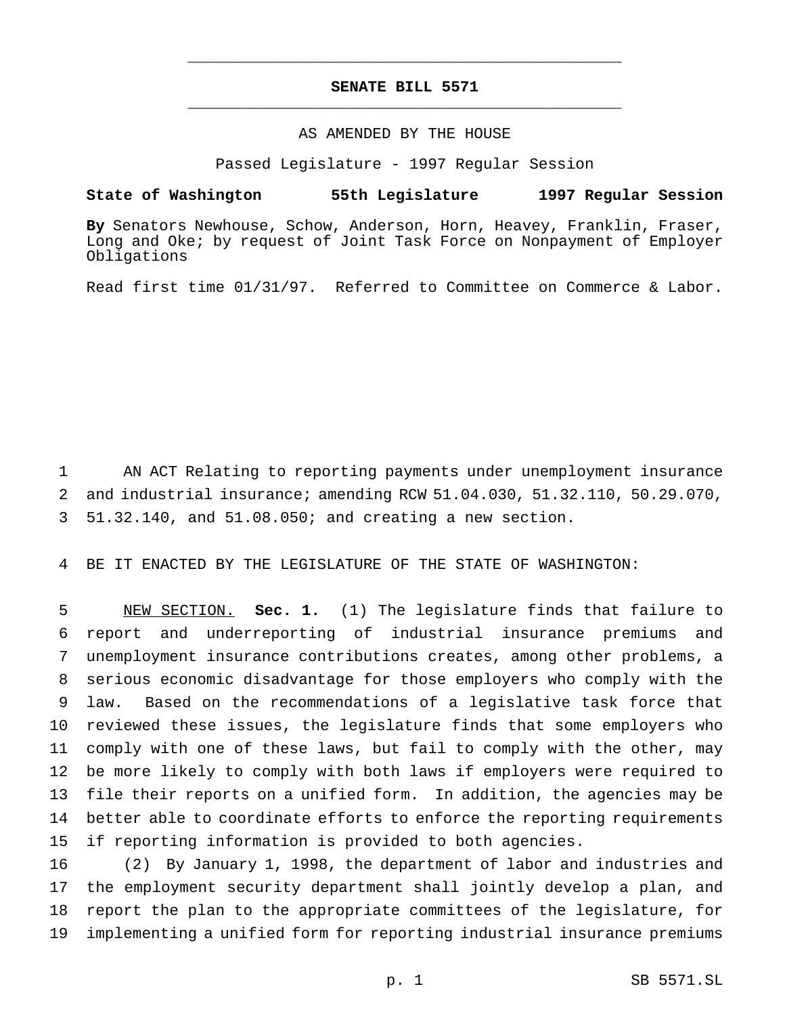# **SENATE BILL 5571** \_\_\_\_\_\_\_\_\_\_\_\_\_\_\_\_\_\_\_\_\_\_\_\_\_\_\_\_\_\_\_\_\_\_\_\_\_\_\_\_\_\_\_\_\_\_\_

\_\_\_\_\_\_\_\_\_\_\_\_\_\_\_\_\_\_\_\_\_\_\_\_\_\_\_\_\_\_\_\_\_\_\_\_\_\_\_\_\_\_\_\_\_\_\_

### AS AMENDED BY THE HOUSE

Passed Legislature - 1997 Regular Session

#### **State of Washington 55th Legislature 1997 Regular Session**

**By** Senators Newhouse, Schow, Anderson, Horn, Heavey, Franklin, Fraser, Long and Oke; by request of Joint Task Force on Nonpayment of Employer Obligations

Read first time 01/31/97. Referred to Committee on Commerce & Labor.

 AN ACT Relating to reporting payments under unemployment insurance and industrial insurance; amending RCW 51.04.030, 51.32.110, 50.29.070, 51.32.140, and 51.08.050; and creating a new section.

BE IT ENACTED BY THE LEGISLATURE OF THE STATE OF WASHINGTON:

 NEW SECTION. **Sec. 1.** (1) The legislature finds that failure to report and underreporting of industrial insurance premiums and unemployment insurance contributions creates, among other problems, a serious economic disadvantage for those employers who comply with the law. Based on the recommendations of a legislative task force that reviewed these issues, the legislature finds that some employers who comply with one of these laws, but fail to comply with the other, may be more likely to comply with both laws if employers were required to file their reports on a unified form. In addition, the agencies may be better able to coordinate efforts to enforce the reporting requirements if reporting information is provided to both agencies.

 (2) By January 1, 1998, the department of labor and industries and the employment security department shall jointly develop a plan, and report the plan to the appropriate committees of the legislature, for implementing a unified form for reporting industrial insurance premiums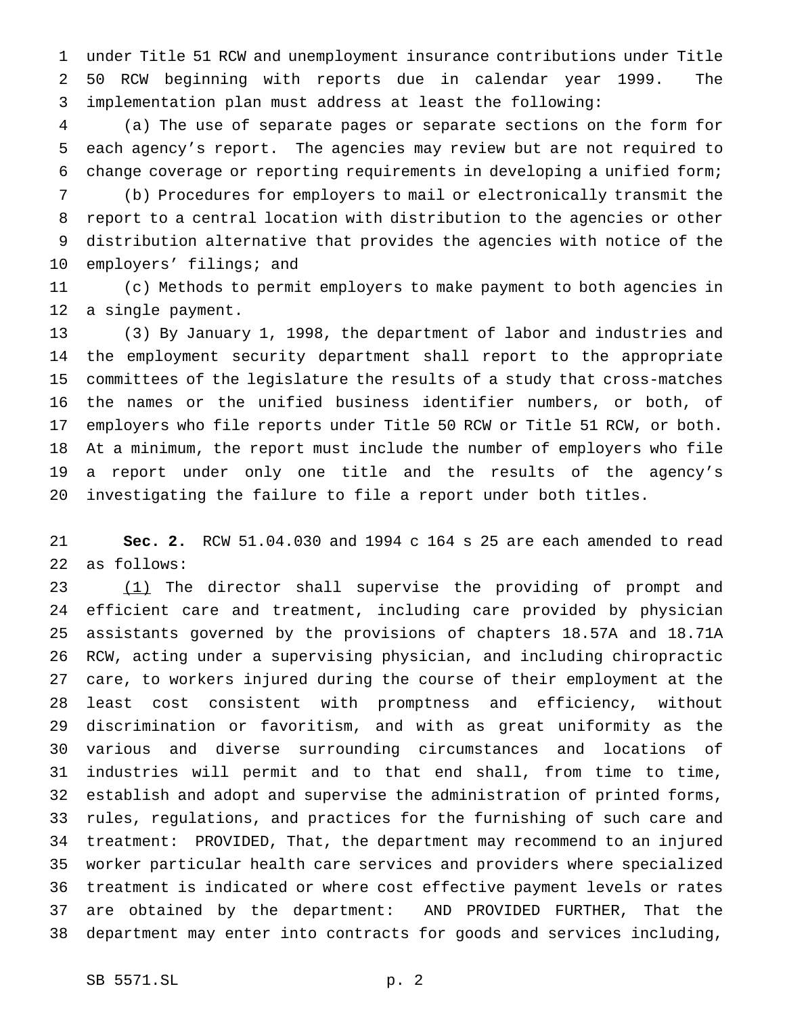under Title 51 RCW and unemployment insurance contributions under Title 50 RCW beginning with reports due in calendar year 1999. The implementation plan must address at least the following:

 (a) The use of separate pages or separate sections on the form for each agency's report. The agencies may review but are not required to change coverage or reporting requirements in developing a unified form;

 (b) Procedures for employers to mail or electronically transmit the report to a central location with distribution to the agencies or other distribution alternative that provides the agencies with notice of the employers' filings; and

 (c) Methods to permit employers to make payment to both agencies in a single payment.

 (3) By January 1, 1998, the department of labor and industries and the employment security department shall report to the appropriate committees of the legislature the results of a study that cross-matches the names or the unified business identifier numbers, or both, of employers who file reports under Title 50 RCW or Title 51 RCW, or both. At a minimum, the report must include the number of employers who file a report under only one title and the results of the agency's investigating the failure to file a report under both titles.

 **Sec. 2.** RCW 51.04.030 and 1994 c 164 s 25 are each amended to read as follows:

23 (1) The director shall supervise the providing of prompt and efficient care and treatment, including care provided by physician assistants governed by the provisions of chapters 18.57A and 18.71A RCW, acting under a supervising physician, and including chiropractic care, to workers injured during the course of their employment at the least cost consistent with promptness and efficiency, without discrimination or favoritism, and with as great uniformity as the various and diverse surrounding circumstances and locations of industries will permit and to that end shall, from time to time, establish and adopt and supervise the administration of printed forms, rules, regulations, and practices for the furnishing of such care and treatment: PROVIDED, That, the department may recommend to an injured worker particular health care services and providers where specialized treatment is indicated or where cost effective payment levels or rates are obtained by the department: AND PROVIDED FURTHER, That the department may enter into contracts for goods and services including,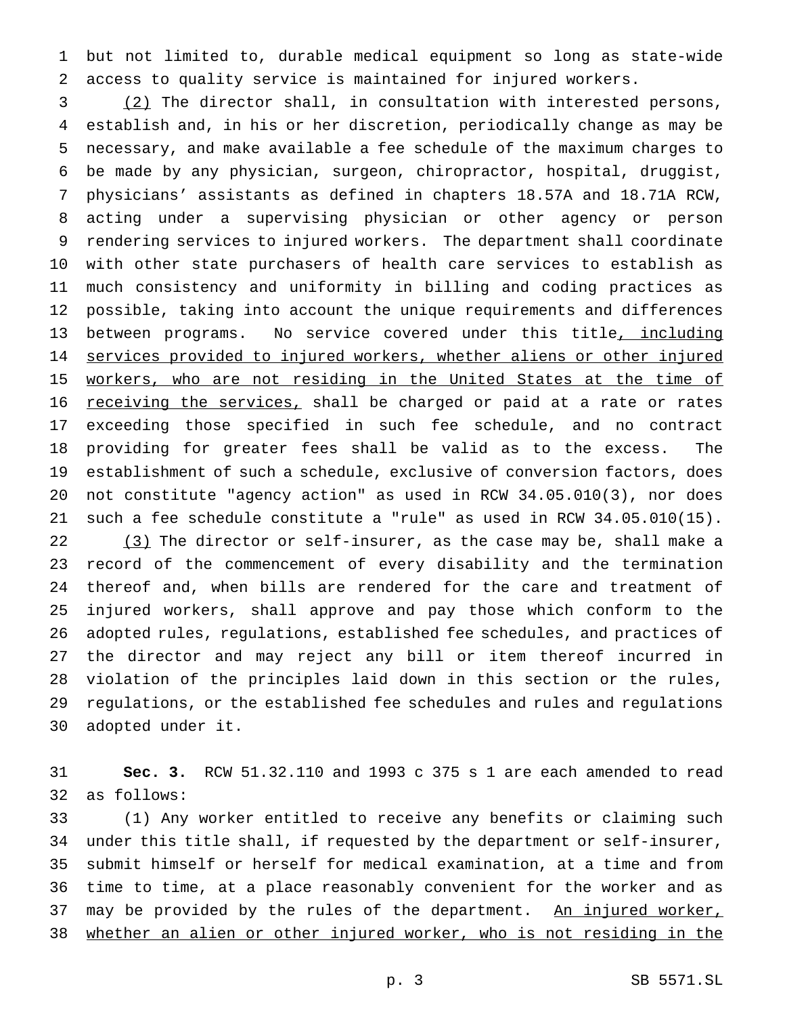but not limited to, durable medical equipment so long as state-wide access to quality service is maintained for injured workers.

 (2) The director shall, in consultation with interested persons, establish and, in his or her discretion, periodically change as may be necessary, and make available a fee schedule of the maximum charges to be made by any physician, surgeon, chiropractor, hospital, druggist, physicians' assistants as defined in chapters 18.57A and 18.71A RCW, acting under a supervising physician or other agency or person rendering services to injured workers. The department shall coordinate with other state purchasers of health care services to establish as much consistency and uniformity in billing and coding practices as possible, taking into account the unique requirements and differences 13 between programs. No service covered under this title, including 14 services provided to injured workers, whether aliens or other injured 15 workers, who are not residing in the United States at the time of 16 receiving the services, shall be charged or paid at a rate or rates exceeding those specified in such fee schedule, and no contract providing for greater fees shall be valid as to the excess. The establishment of such a schedule, exclusive of conversion factors, does not constitute "agency action" as used in RCW 34.05.010(3), nor does such a fee schedule constitute a "rule" as used in RCW 34.05.010(15). 22 (3) The director or self-insurer, as the case may be, shall make a record of the commencement of every disability and the termination thereof and, when bills are rendered for the care and treatment of injured workers, shall approve and pay those which conform to the adopted rules, regulations, established fee schedules, and practices of the director and may reject any bill or item thereof incurred in violation of the principles laid down in this section or the rules, regulations, or the established fee schedules and rules and regulations adopted under it.

 **Sec. 3.** RCW 51.32.110 and 1993 c 375 s 1 are each amended to read as follows:

 (1) Any worker entitled to receive any benefits or claiming such under this title shall, if requested by the department or self-insurer, submit himself or herself for medical examination, at a time and from time to time, at a place reasonably convenient for the worker and as 37 may be provided by the rules of the department. An injured worker, whether an alien or other injured worker, who is not residing in the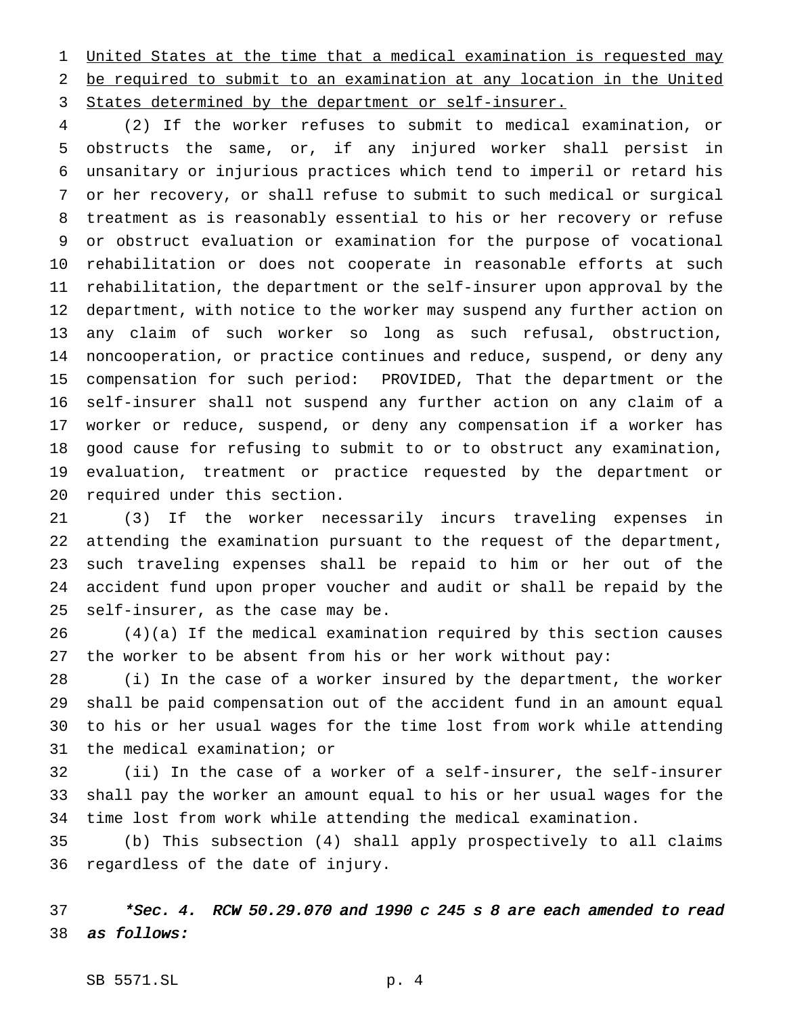United States at the time that a medical examination is requested may be required to submit to an examination at any location in the United 3 States determined by the department or self-insurer.

 (2) If the worker refuses to submit to medical examination, or obstructs the same, or, if any injured worker shall persist in unsanitary or injurious practices which tend to imperil or retard his or her recovery, or shall refuse to submit to such medical or surgical treatment as is reasonably essential to his or her recovery or refuse or obstruct evaluation or examination for the purpose of vocational rehabilitation or does not cooperate in reasonable efforts at such rehabilitation, the department or the self-insurer upon approval by the department, with notice to the worker may suspend any further action on any claim of such worker so long as such refusal, obstruction, noncooperation, or practice continues and reduce, suspend, or deny any compensation for such period: PROVIDED, That the department or the self-insurer shall not suspend any further action on any claim of a worker or reduce, suspend, or deny any compensation if a worker has good cause for refusing to submit to or to obstruct any examination, evaluation, treatment or practice requested by the department or required under this section.

 (3) If the worker necessarily incurs traveling expenses in attending the examination pursuant to the request of the department, such traveling expenses shall be repaid to him or her out of the accident fund upon proper voucher and audit or shall be repaid by the self-insurer, as the case may be.

 (4)(a) If the medical examination required by this section causes the worker to be absent from his or her work without pay:

 (i) In the case of a worker insured by the department, the worker shall be paid compensation out of the accident fund in an amount equal to his or her usual wages for the time lost from work while attending the medical examination; or

 (ii) In the case of a worker of a self-insurer, the self-insurer shall pay the worker an amount equal to his or her usual wages for the time lost from work while attending the medical examination.

 (b) This subsection (4) shall apply prospectively to all claims regardless of the date of injury.

 \*Sec. 4. RCW 50.29.070 and <sup>1990</sup> <sup>c</sup> <sup>245</sup> <sup>s</sup> <sup>8</sup> are each amended to read as follows: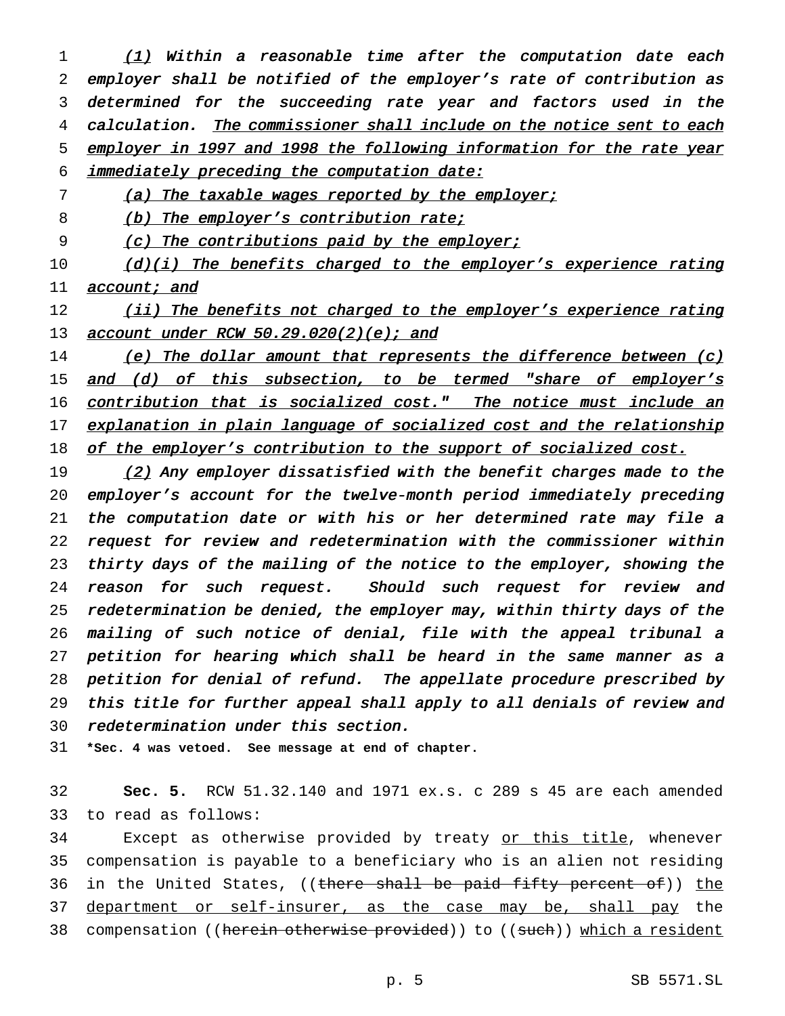1 (1) Within a reasonable time after the computation date each employer shall be notified of the employer's rate of contribution as determined for the succeeding rate year and factors used in the 4 calculation. The commissioner shall include on the notice sent to each employer in <sup>1997</sup> and <sup>1998</sup> the following information for the rate year immediately preceding the computation date:

7 (a) The taxable wages reported by the employer;

8 (b) The employer's contribution rate;

9 (c) The contributions paid by the employer;

10 (d)(i) The benefits charged to the employer's experience rating 11 **account; and** 

12 (ii) The benefits not charged to the employer's experience rating 13 account under RCW 50.29.020(2)(e); and

14 (e) The dollar amount that represents the difference between (c) 15 and (d) of this subsection, to be termed "share of employer's 16 contribution that is socialized cost." The notice must include an 17 explanation in plain language of socialized cost and the relationship 18 of the employer's contribution to the support of socialized cost.

19 (2) Any employer dissatisfied with the benefit charges made to the employer's account for the twelve-month period immediately preceding the computation date or with his or her determined rate may file <sup>a</sup> request for review and redetermination with the commissioner within thirty days of the mailing of the notice to the employer, showing the 24 reason for such request. Should such request for review and redetermination be denied, the employer may, within thirty days of the mailing of such notice of denial, file with the appeal tribunal <sup>a</sup> 27 petition for hearing which shall be heard in the same manner as a petition for denial of refund. The appellate procedure prescribed by this title for further appeal shall apply to all denials of review and redetermination under this section.

31 **\*Sec. 4 was vetoed. See message at end of chapter.**

32 **Sec. 5.** RCW 51.32.140 and 1971 ex.s. c 289 s 45 are each amended 33 to read as follows:

34 Except as otherwise provided by treaty or this title, whenever 35 compensation is payable to a beneficiary who is an alien not residing 36 in the United States, ((there shall be paid fifty percent of)) the 37 department or self-insurer, as the case may be, shall pay the 38 compensation ((herein otherwise provided)) to ((such)) which a resident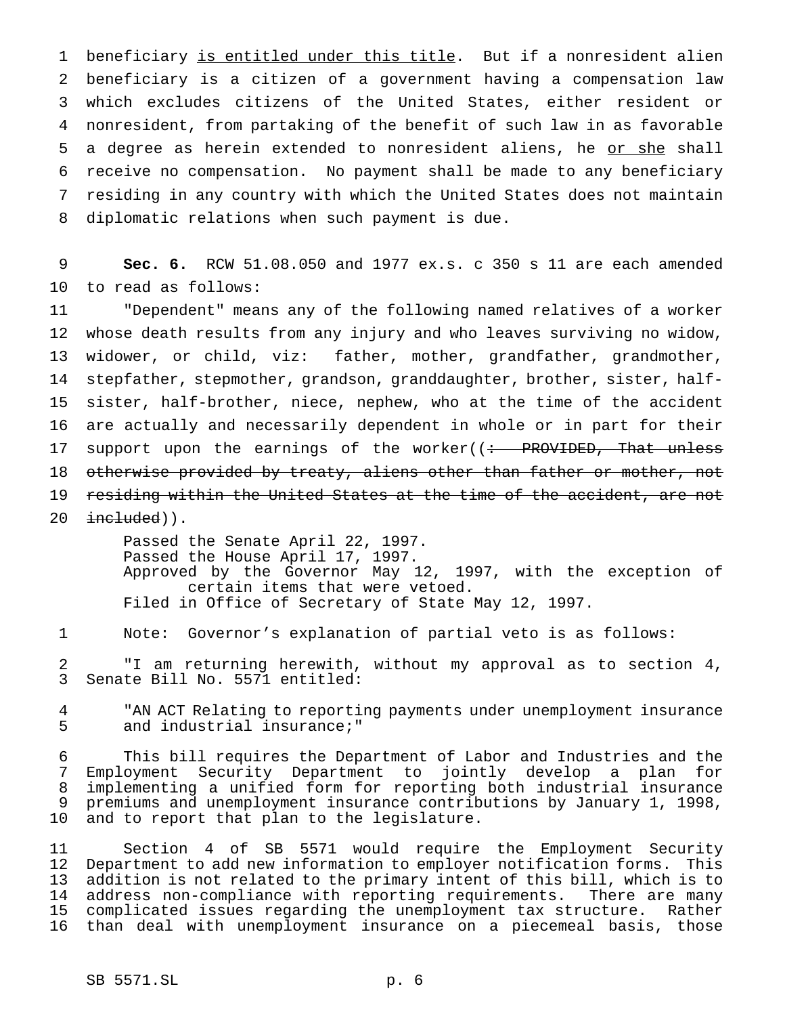1 beneficiary is entitled under this title. But if a nonresident alien beneficiary is a citizen of a government having a compensation law which excludes citizens of the United States, either resident or nonresident, from partaking of the benefit of such law in as favorable 5 a degree as herein extended to nonresident aliens, he or she shall receive no compensation. No payment shall be made to any beneficiary residing in any country with which the United States does not maintain diplomatic relations when such payment is due.

 **Sec. 6.** RCW 51.08.050 and 1977 ex.s. c 350 s 11 are each amended to read as follows:

 "Dependent" means any of the following named relatives of a worker whose death results from any injury and who leaves surviving no widow, widower, or child, viz: father, mother, grandfather, grandmother, stepfather, stepmother, grandson, granddaughter, brother, sister, half- sister, half-brother, niece, nephew, who at the time of the accident are actually and necessarily dependent in whole or in part for their 17 support upon the earnings of the worker((: PROVIDED, That unless 18 otherwise provided by treaty, aliens other than father or mother, not residing within the United States at the time of the accident, are not  $intulated)$ .

> Passed the Senate April 22, 1997. Passed the House April 17, 1997. Approved by the Governor May 12, 1997, with the exception of certain items that were vetoed. Filed in Office of Secretary of State May 12, 1997.

Note: Governor's explanation of partial veto is as follows:

 "I am returning herewith, without my approval as to section 4, Senate Bill No. 5571 entitled:

4 "AN ACT Relating to reporting payments under unemployment insurance<br>5 and industrial insurance;" and industrial insurance;"

 This bill requires the Department of Labor and Industries and the Employment Security Department to jointly develop a plan for implementing a unified form for reporting both industrial insurance premiums and unemployment insurance contributions by January 1, 1998, and to report that plan to the legislature.

 Section 4 of SB 5571 would require the Employment Security Department to add new information to employer notification forms. This addition is not related to the primary intent of this bill, which is to address non-compliance with reporting requirements. There are many complicated issues regarding the unemployment tax structure. Rather than deal with unemployment insurance on a piecemeal basis, those